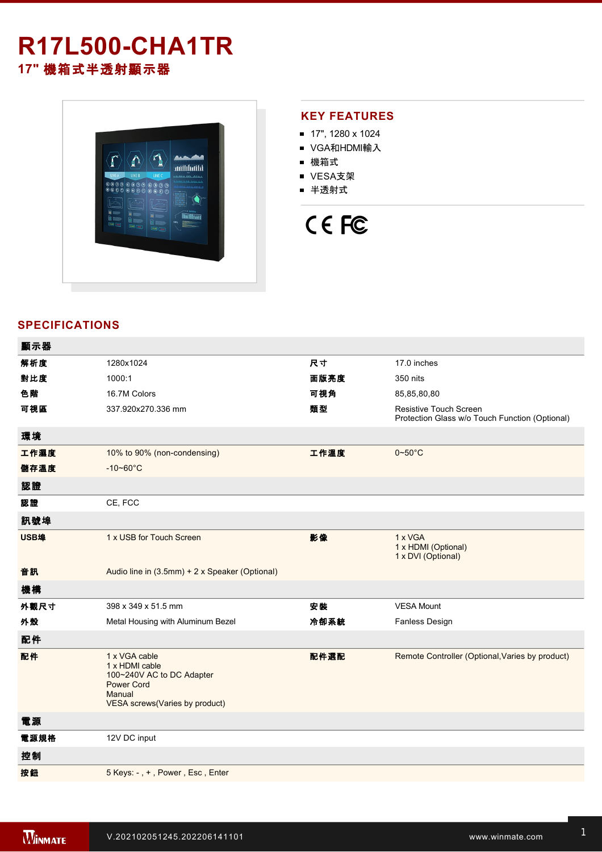# **R17L500-CHA1TR 17"** 機箱式半透射顯示器



### **KEY FEATURES**

- 17", 1280 x 1024
- VGA和HDMI輸入
- 機箱式
- VESA支架
- 半透射式

# CE FC

### **SPECIFICATIONS**

| 顯示器  |                                                                                                                               |      |                                                                          |
|------|-------------------------------------------------------------------------------------------------------------------------------|------|--------------------------------------------------------------------------|
| 解析度  | 1280x1024                                                                                                                     | 尺寸   | 17.0 inches                                                              |
| 對比度  | 1000:1                                                                                                                        | 面版亮度 | 350 nits                                                                 |
| 色階   | 16.7M Colors                                                                                                                  | 可視角  | 85,85,80,80                                                              |
| 可視區  | 337.920x270.336 mm                                                                                                            | 類型   | Resistive Touch Screen<br>Protection Glass w/o Touch Function (Optional) |
| 環境   |                                                                                                                               |      |                                                                          |
| 工作濕度 | 10% to 90% (non-condensing)                                                                                                   | 工作溫度 | $0 \sim 50^{\circ}$ C                                                    |
| 儲存溫度 | $-10 - 60^{\circ}C$                                                                                                           |      |                                                                          |
| 認證   |                                                                                                                               |      |                                                                          |
| 認證   | CE, FCC                                                                                                                       |      |                                                                          |
| 訊號埠  |                                                                                                                               |      |                                                                          |
| USB埠 | 1 x USB for Touch Screen                                                                                                      | 影像   | 1 x VGA<br>1 x HDMI (Optional)<br>1 x DVI (Optional)                     |
| 音訊   | Audio line in (3.5mm) + 2 x Speaker (Optional)                                                                                |      |                                                                          |
| 機構   |                                                                                                                               |      |                                                                          |
| 外觀尺寸 | 398 x 349 x 51.5 mm                                                                                                           | 安装   | <b>VESA Mount</b>                                                        |
| 外殼   | Metal Housing with Aluminum Bezel                                                                                             | 冷卻系統 | <b>Fanless Design</b>                                                    |
| 配件   |                                                                                                                               |      |                                                                          |
| 配件   | 1 x VGA cable<br>1 x HDMI cable<br>100~240V AC to DC Adapter<br><b>Power Cord</b><br>Manual<br>VESA screws(Varies by product) | 配件選配 | Remote Controller (Optional, Varies by product)                          |
| 電源   |                                                                                                                               |      |                                                                          |
| 電源規格 | 12V DC input                                                                                                                  |      |                                                                          |
| 控制   |                                                                                                                               |      |                                                                          |
| 按鈕   | 5 Keys: -, +, Power, Esc, Enter                                                                                               |      |                                                                          |
|      |                                                                                                                               |      |                                                                          |